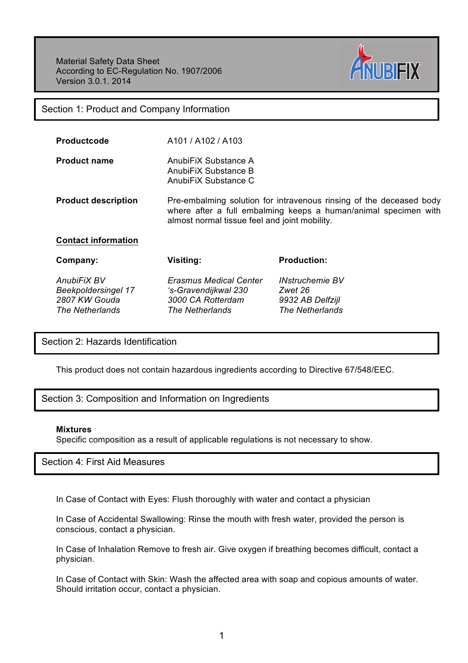Material Safety Data Sheet According to EC-Regulation No. 1907/2006 Version 3.0.1. 2014



Section 1: Product and Company Information

| <b>Productcode</b> | A101 / A102 / A103 |
|--------------------|--------------------|
|                    |                    |

**Product name** AnubiFiX Substance A AnubiFiX Substance B AnubiFiX Substance C

**Product description** Pre-embalming solution for intravenous rinsing of the deceased body where after a full embalming keeps a human/animal specimen with almost normal tissue feel and joint mobility.

**Contact information**

| Company:                   | Visiting:                     | <b>Production:</b>     |
|----------------------------|-------------------------------|------------------------|
| AnubiFiX BV                | <b>Erasmus Medical Center</b> | <b>INstruchemie BV</b> |
| <b>Beekpoldersingel 17</b> | 's-Gravendijkwal 230          | Zwet 26                |
| 2807 KW Gouda              | 3000 CA Rotterdam             | 9932 AB Delfzijl       |
| The Netherlands            | The Netherlands               | The Netherlands        |

Section 2: Hazards Identification

This product does not contain hazardous ingredients according to Directive 67/548/EEC.

Section 3: Composition and Information on Ingredients

## **Mixtures**

Specific composition as a result of applicable regulations is not necessary to show.

Section 4: First Aid Measures

In Case of Contact with Eyes: Flush thoroughly with water and contact a physician

In Case of Accidental Swallowing: Rinse the mouth with fresh water, provided the person is conscious, contact a physician.

In Case of Inhalation Remove to fresh air. Give oxygen if breathing becomes difficult, contact a physician.

In Case of Contact with Skin: Wash the affected area with soap and copious amounts of water. Should irritation occur, contact a physician.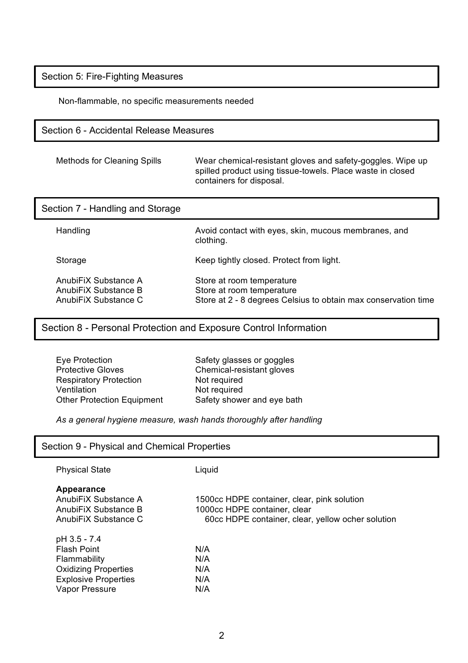Section 5: Fire-Fighting Measures

Non-flammable, no specific measurements needed

## Section 6 - Accidental Release Measures

| <b>Methods for Cleaning Spills</b> | Wear chemical-resistant gloves and safety-goggles. Wipe up<br>spilled product using tissue-towels. Place waste in closed |
|------------------------------------|--------------------------------------------------------------------------------------------------------------------------|
|                                    | containers for disposal.                                                                                                 |

| Section 7 - Handling and Storage                                     |                                                                                                                          |
|----------------------------------------------------------------------|--------------------------------------------------------------------------------------------------------------------------|
| Handling                                                             | Avoid contact with eyes, skin, mucous membranes, and<br>clothing.                                                        |
| Storage                                                              | Keep tightly closed. Protect from light.                                                                                 |
| AnubiFiX Substance A<br>AnubiFiX Substance B<br>AnubiFiX Substance C | Store at room temperature<br>Store at room temperature<br>Store at 2 - 8 degrees Celsius to obtain max conservation time |

Section 8 - Personal Protection and Exposure Control Information

| Eye Protection                    |
|-----------------------------------|
| <b>Protective Gloves</b>          |
| <b>Respiratory Protection</b>     |
| Ventilation                       |
| <b>Other Protection Equipment</b> |
|                                   |

Safety glasses or goggles Chemical-resistant gloves Not required Not required Safety shower and eye bath

*As a general hygiene measure, wash hands thoroughly after handling*

| Section 9 - Physical and Chemical Properties                                                                                       |                                                                                                                                  |  |
|------------------------------------------------------------------------------------------------------------------------------------|----------------------------------------------------------------------------------------------------------------------------------|--|
| <b>Physical State</b>                                                                                                              | Liquid                                                                                                                           |  |
| Appearance<br>AnubiFiX Substance A<br>AnubiFiX Substance B<br>AnubiFiX Substance C                                                 | 1500cc HDPE container, clear, pink solution<br>1000cc HDPE container, clear<br>60cc HDPE container, clear, yellow ocher solution |  |
| pH 3.5 - 7.4<br><b>Flash Point</b><br>Flammability<br><b>Oxidizing Properties</b><br><b>Explosive Properties</b><br>Vapor Pressure | N/A<br>N/A<br>N/A<br>N/A<br>N/A                                                                                                  |  |